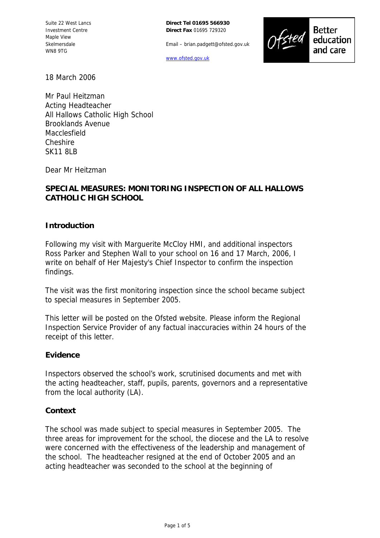Suite 22 West Lancs Investment Centre Maple View Skelmersdale WN8 9TG

**Direct Tel 01695 566930 Direct Fax** 01695 729320

Email – brian.padgett@ofsted.gov.uk

[www.ofsted.gov.uk](http://www.ofsted.gov.uk/)



**Better** education and care

18 March 2006

Mr Paul Heitzman Acting Headteacher All Hallows Catholic High School Brooklands Avenue Macclesfield Cheshire SK11 8LB

Dear Mr Heitzman

# **SPECIAL MEASURES: MONITORING INSPECTION OF ALL HALLOWS CATHOLIC HIGH SCHOOL**

#### **Introduction**

Following my visit with Marguerite McCloy HMI, and additional inspectors Ross Parker and Stephen Wall to your school on 16 and 17 March, 2006, I write on behalf of Her Majesty's Chief Inspector to confirm the inspection findings.

The visit was the first monitoring inspection since the school became subject to special measures in September 2005.

This letter will be posted on the Ofsted website. Please inform the Regional Inspection Service Provider of any factual inaccuracies within 24 hours of the receipt of this letter.

#### **Evidence**

Inspectors observed the school's work, scrutinised documents and met with the acting headteacher, staff, pupils, parents, governors and a representative from the local authority (LA).

#### **Context**

The school was made subject to special measures in September 2005. The three areas for improvement for the school, the diocese and the LA to resolve were concerned with the effectiveness of the leadership and management of the school. The headteacher resigned at the end of October 2005 and an acting headteacher was seconded to the school at the beginning of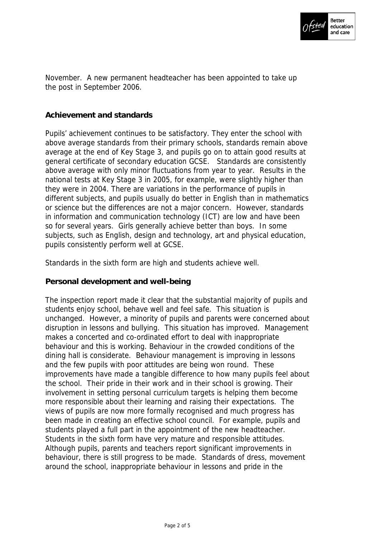

November. A new permanent headteacher has been appointed to take up the post in September 2006.

## **Achievement and standards**

Pupils' achievement continues to be satisfactory. They enter the school with above average standards from their primary schools, standards remain above average at the end of Key Stage 3, and pupils go on to attain good results at general certificate of secondary education GCSE. Standards are consistently above average with only minor fluctuations from year to year. Results in the national tests at Key Stage 3 in 2005, for example, were slightly higher than they were in 2004. There are variations in the performance of pupils in different subjects, and pupils usually do better in English than in mathematics or science but the differences are not a major concern. However, standards in information and communication technology (ICT) are low and have been so for several years. Girls generally achieve better than boys. In some subjects, such as English, design and technology, art and physical education, pupils consistently perform well at GCSE.

Standards in the sixth form are high and students achieve well.

## **Personal development and well-being**

The inspection report made it clear that the substantial majority of pupils and students enjoy school, behave well and feel safe. This situation is unchanged. However, a minority of pupils and parents were concerned about disruption in lessons and bullying. This situation has improved. Management makes a concerted and co-ordinated effort to deal with inappropriate behaviour and this is working. Behaviour in the crowded conditions of the dining hall is considerate. Behaviour management is improving in lessons and the few pupils with poor attitudes are being won round. These improvements have made a tangible difference to how many pupils feel about the school. Their pride in their work and in their school is growing. Their involvement in setting personal curriculum targets is helping them become more responsible about their learning and raising their expectations. The views of pupils are now more formally recognised and much progress has been made in creating an effective school council. For example, pupils and students played a full part in the appointment of the new headteacher. Students in the sixth form have very mature and responsible attitudes. Although pupils, parents and teachers report significant improvements in behaviour, there is still progress to be made. Standards of dress, movement around the school, inappropriate behaviour in lessons and pride in the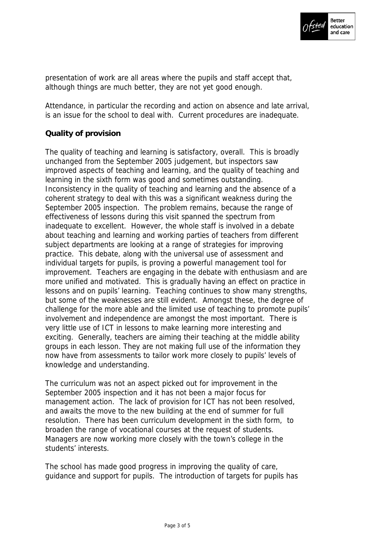

presentation of work are all areas where the pupils and staff accept that, although things are much better, they are not yet good enough.

Attendance, in particular the recording and action on absence and late arrival, is an issue for the school to deal with. Current procedures are inadequate.

# **Quality of provision**

The quality of teaching and learning is satisfactory, overall. This is broadly unchanged from the September 2005 judgement, but inspectors saw improved aspects of teaching and learning, and the quality of teaching and learning in the sixth form was good and sometimes outstanding. Inconsistency in the quality of teaching and learning and the absence of a coherent strategy to deal with this was a significant weakness during the September 2005 inspection. The problem remains, because the range of effectiveness of lessons during this visit spanned the spectrum from inadequate to excellent. However, the whole staff is involved in a debate about teaching and learning and working parties of teachers from different subject departments are looking at a range of strategies for improving practice. This debate, along with the universal use of assessment and individual targets for pupils, is proving a powerful management tool for improvement. Teachers are engaging in the debate with enthusiasm and are more unified and motivated. This is gradually having an effect on practice in lessons and on pupils' learning. Teaching continues to show many strengths, but some of the weaknesses are still evident. Amongst these, the degree of challenge for the more able and the limited use of teaching to promote pupils' involvement and independence are amongst the most important. There is very little use of ICT in lessons to make learning more interesting and exciting. Generally, teachers are aiming their teaching at the middle ability groups in each lesson. They are not making full use of the information they now have from assessments to tailor work more closely to pupils' levels of knowledge and understanding.

The curriculum was not an aspect picked out for improvement in the September 2005 inspection and it has not been a major focus for management action. The lack of provision for ICT has not been resolved, and awaits the move to the new building at the end of summer for full resolution. There has been curriculum development in the sixth form, to broaden the range of vocational courses at the request of students. Managers are now working more closely with the town's college in the students' interests.

The school has made good progress in improving the quality of care, guidance and support for pupils. The introduction of targets for pupils has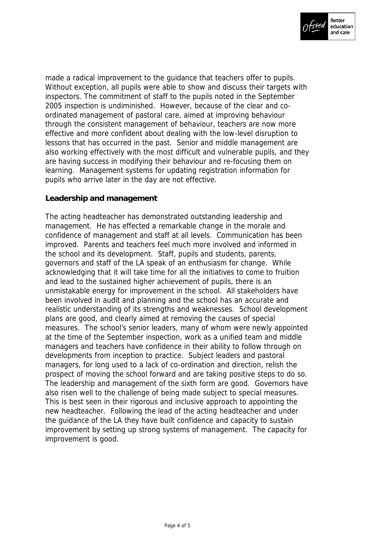

made a radical improvement to the guidance that teachers offer to pupils. Without exception, all pupils were able to show and discuss their targets with inspectors. The commitment of staff to the pupils noted in the September 2005 inspection is undiminished. However, because of the clear and coordinated management of pastoral care, aimed at improving behaviour through the consistent management of behaviour, teachers are now more effective and more confident about dealing with the low-level disruption to lessons that has occurred in the past. Senior and middle management are also working effectively with the most difficult and vulnerable pupils, and they are having success in modifying their behaviour and re-focusing them on learning. Management systems for updating registration information for pupils who arrive later in the day are not effective.

# **Leadership and management**

The acting headteacher has demonstrated outstanding leadership and management. He has effected a remarkable change in the morale and confidence of management and staff at all levels. Communication has been improved. Parents and teachers feel much more involved and informed in the school and its development. Staff, pupils and students, parents, governors and staff of the LA speak of an enthusiasm for change. While acknowledging that it will take time for all the initiatives to come to fruition and lead to the sustained higher achievement of pupils, there is an unmistakable energy for improvement in the school. All stakeholders have been involved in audit and planning and the school has an accurate and realistic understanding of its strengths and weaknesses. School development plans are good, and clearly aimed at removing the causes of special measures. The school's senior leaders, many of whom were newly appointed at the time of the September inspection, work as a unified team and middle managers and teachers have confidence in their ability to follow through on developments from inception to practice. Subject leaders and pastoral managers, for long used to a lack of co-ordination and direction, relish the prospect of moving the school forward and are taking positive steps to do so. The leadership and management of the sixth form are good. Governors have also risen well to the challenge of being made subject to special measures. This is best seen in their rigorous and inclusive approach to appointing the new headteacher. Following the lead of the acting headteacher and under the guidance of the LA they have built confidence and capacity to sustain improvement by setting up strong systems of management. The capacity for improvement is good.